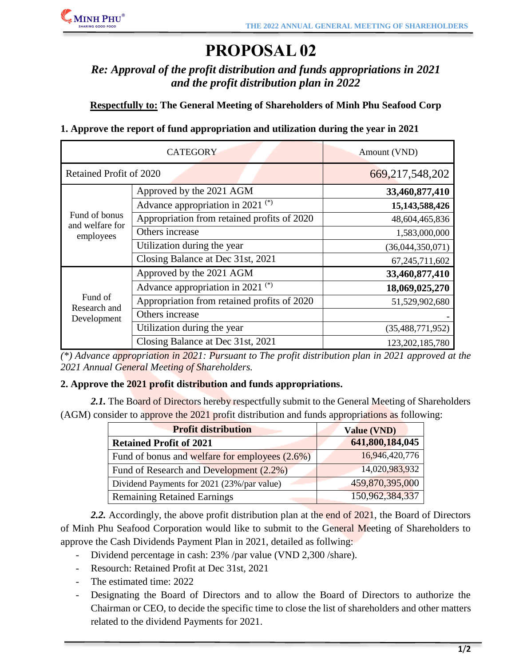

# **PROPOSAL 02**

*Re: Approval of the profit distribution and funds appropriations in 2021 and the profit distribution plan in 2022*

**Respectfully to: The General Meeting of Shareholders of Minh Phu Seafood Corp**

### **1. Approve the report of fund appropriation and utilization during the year in 2021**

| <b>CATEGORY</b>                               |                                             | Amount (VND)        |
|-----------------------------------------------|---------------------------------------------|---------------------|
| Retained Profit of 2020                       |                                             | 669, 217, 548, 202  |
| Fund of bonus<br>and welfare for<br>employees | Approved by the 2021 AGM                    | 33,460,877,410      |
|                                               | Advance appropriation in 2021 $(*)$         | 15,143,588,426      |
|                                               | Appropriation from retained profits of 2020 | 48,604,465,836      |
|                                               | Others increase                             | 1,583,000,000       |
|                                               | Utilization during the year                 | (36,044,350,071)    |
|                                               | Closing Balance at Dec 31st, 2021           | 67, 245, 711, 602   |
| Fund of<br>Research and<br>Development        | Approved by the 2021 AGM                    | 33,460,877,410      |
|                                               | Advance appropriation in 2021 $(*)$         | 18,069,025,270      |
|                                               | Appropriation from retained profits of 2020 | 51,529,902,680      |
|                                               | Others increase                             |                     |
|                                               | Utilization during the year                 | (35, 488, 771, 952) |
|                                               | Closing Balance at Dec 31st, 2021           | 123,202,185,780     |

*(\*) Advance appropriation in 2021: Pursuant to The profit distribution plan in 2021 approved at the 2021 Annual General Meeting of Shareholders.*

### **2. Approve the 2021 profit distribution and funds appropriations.**

2.1. The Board of Directors hereby respectfully submit to the General Meeting of Shareholders (AGM) consider to approve the 2021 profit distribution and funds appropriations as following:

| <b>Profit distribution</b>                     | <b>Value (VND)</b> |
|------------------------------------------------|--------------------|
| <b>Retained Profit of 2021</b>                 | 641,800,184,045    |
| Fund of bonus and welfare for employees (2.6%) | 16,946,420,776     |
| Fund of Research and Development (2.2%)        | 14,020,983,932     |
| Dividend Payments for 2021 (23%/par value)     | 459,870,395,000    |
| <b>Remaining Retained Earnings</b>             | 150,962,384,337    |

2.2. Accordingly, the above profit distribution plan at the end of 2021, the Board of Directors of Minh Phu Seafood Corporation would like to submit to the General Meeting of Shareholders to approve the Cash Dividends Payment Plan in 2021, detailed as follwing:

- Dividend percentage in cash: 23% /par value (VND 2,300 /share).
- Resourch: Retained Profit at Dec 31st, 2021
- The estimated time: 2022
- Designating the Board of Directors and to allow the Board of Directors to authorize the Chairman or CEO, to decide the specific time to close the list of shareholders and other matters related to the dividend Payments for 2021.